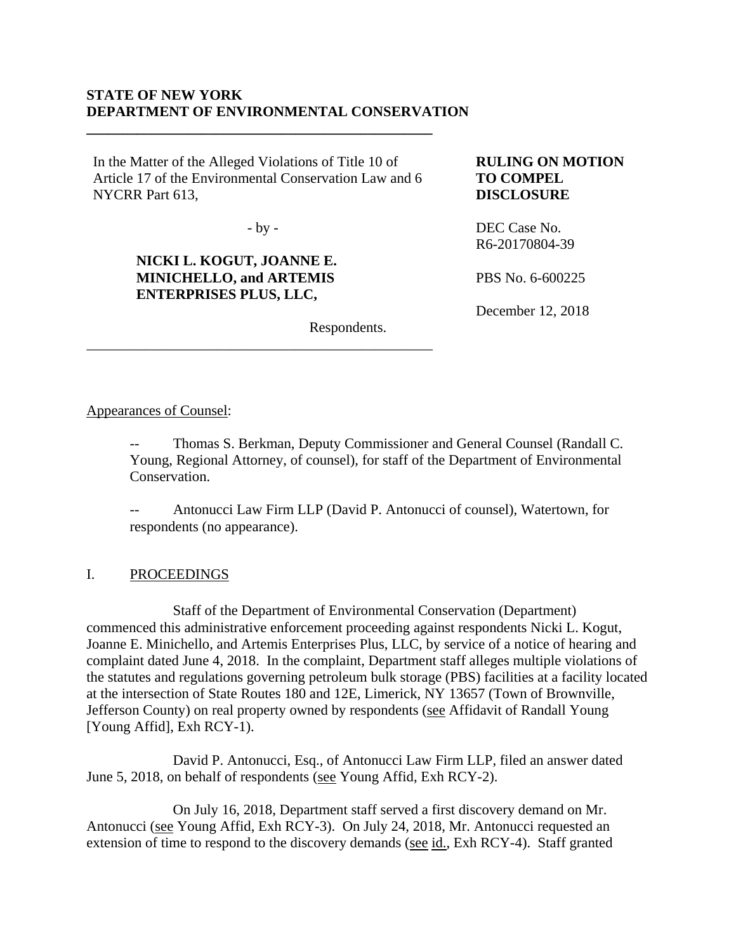### **STATE OF NEW YORK DEPARTMENT OF ENVIRONMENTAL CONSERVATION**

In the Matter of the Alleged Violations of Title 10 of Article 17 of the Environmental Conservation Law and 6 NYCRR Part 613,

**\_\_\_\_\_\_\_\_\_\_\_\_\_\_\_\_\_\_\_\_\_\_\_\_\_\_\_\_\_\_\_\_\_\_\_\_\_\_\_\_\_\_\_\_\_\_\_\_**

 $-by -$ 

\_\_\_\_\_\_\_\_\_\_\_\_\_\_\_\_\_\_\_\_\_\_\_\_\_\_\_\_\_\_\_\_\_\_\_\_\_\_\_\_\_\_\_\_\_\_\_\_

# **NICKI L. KOGUT, JOANNE E. MINICHELLO, and ARTEMIS ENTERPRISES PLUS, LLC,**

### **RULING ON MOTION TO COMPEL DISCLOSURE**

DEC Case No. R6-20170804-39

PBS No. 6-600225

December 12, 2018

Respondents.

### Appearances of Counsel:

Thomas S. Berkman, Deputy Commissioner and General Counsel (Randall C. Young, Regional Attorney, of counsel), for staff of the Department of Environmental Conservation.

Antonucci Law Firm LLP (David P. Antonucci of counsel), Watertown, for respondents (no appearance).

## I. PROCEEDINGS

 Staff of the Department of Environmental Conservation (Department) commenced this administrative enforcement proceeding against respondents Nicki L. Kogut, Joanne E. Minichello, and Artemis Enterprises Plus, LLC, by service of a notice of hearing and complaint dated June 4, 2018. In the complaint, Department staff alleges multiple violations of the statutes and regulations governing petroleum bulk storage (PBS) facilities at a facility located at the intersection of State Routes 180 and 12E, Limerick, NY 13657 (Town of Brownville, Jefferson County) on real property owned by respondents (see Affidavit of Randall Young [Young Affid], Exh RCY-1).

 David P. Antonucci, Esq., of Antonucci Law Firm LLP, filed an answer dated June 5, 2018, on behalf of respondents (see Young Affid, Exh RCY-2).

 On July 16, 2018, Department staff served a first discovery demand on Mr. Antonucci (see Young Affid, Exh RCY-3). On July 24, 2018, Mr. Antonucci requested an extension of time to respond to the discovery demands (see id., Exh RCY-4). Staff granted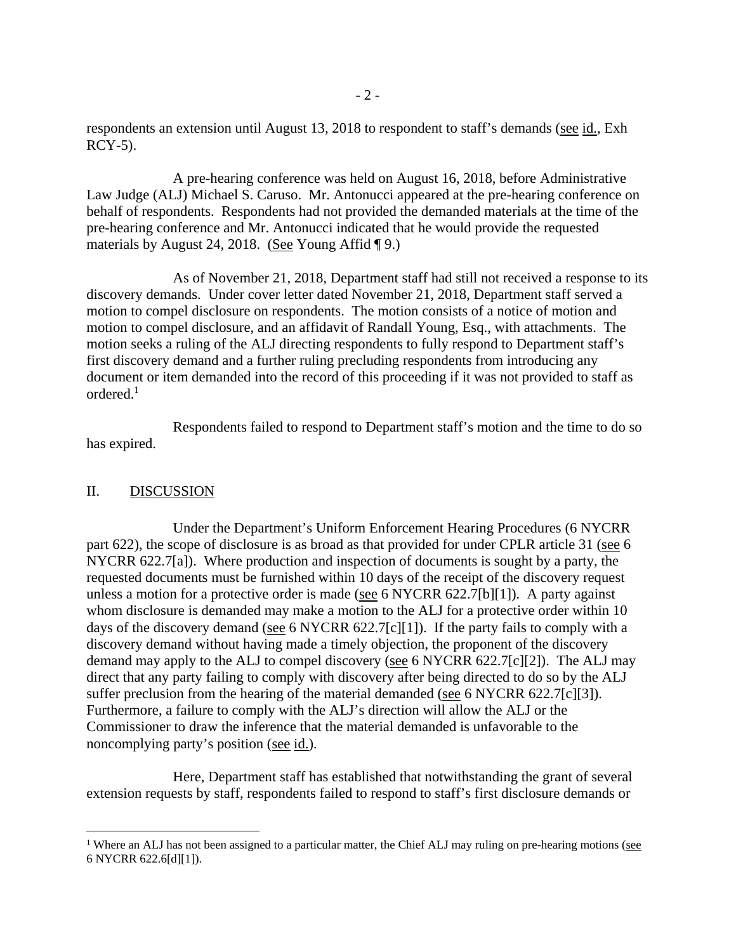respondents an extension until August 13, 2018 to respondent to staff's demands (see id., Exh  $RCY-5$ ).

 A pre-hearing conference was held on August 16, 2018, before Administrative Law Judge (ALJ) Michael S. Caruso. Mr. Antonucci appeared at the pre-hearing conference on behalf of respondents. Respondents had not provided the demanded materials at the time of the pre-hearing conference and Mr. Antonucci indicated that he would provide the requested materials by August 24, 2018. (See Young Affid  $\P$ 9.)

 As of November 21, 2018, Department staff had still not received a response to its discovery demands. Under cover letter dated November 21, 2018, Department staff served a motion to compel disclosure on respondents. The motion consists of a notice of motion and motion to compel disclosure, and an affidavit of Randall Young, Esq., with attachments. The motion seeks a ruling of the ALJ directing respondents to fully respond to Department staff's first discovery demand and a further ruling precluding respondents from introducing any document or item demanded into the record of this proceeding if it was not provided to staff as ordered.1

 Respondents failed to respond to Department staff's motion and the time to do so has expired.

#### II. DISCUSSION

 $\overline{a}$ 

 Under the Department's Uniform Enforcement Hearing Procedures (6 NYCRR part 622), the scope of disclosure is as broad as that provided for under CPLR article 31 (see 6 NYCRR 622.7[a]). Where production and inspection of documents is sought by a party, the requested documents must be furnished within 10 days of the receipt of the discovery request unless a motion for a protective order is made (see 6 NYCRR 622.7[b][1]). A party against whom disclosure is demanded may make a motion to the ALJ for a protective order within 10 days of the discovery demand (see 6 NYCRR 622.7[c][1]). If the party fails to comply with a discovery demand without having made a timely objection, the proponent of the discovery demand may apply to the ALJ to compel discovery (see 6 NYCRR 622.7[c][2]). The ALJ may direct that any party failing to comply with discovery after being directed to do so by the ALJ suffer preclusion from the hearing of the material demanded (see 6 NYCRR 622.7[c][3]). Furthermore, a failure to comply with the ALJ's direction will allow the ALJ or the Commissioner to draw the inference that the material demanded is unfavorable to the noncomplying party's position (see id.).

 Here, Department staff has established that notwithstanding the grant of several extension requests by staff, respondents failed to respond to staff's first disclosure demands or

<sup>&</sup>lt;sup>1</sup> Where an ALJ has not been assigned to a particular matter, the Chief ALJ may ruling on pre-hearing motions ( $\frac{\text{see}}{\text{Set}}$ 6 NYCRR 622.6[d][1]).